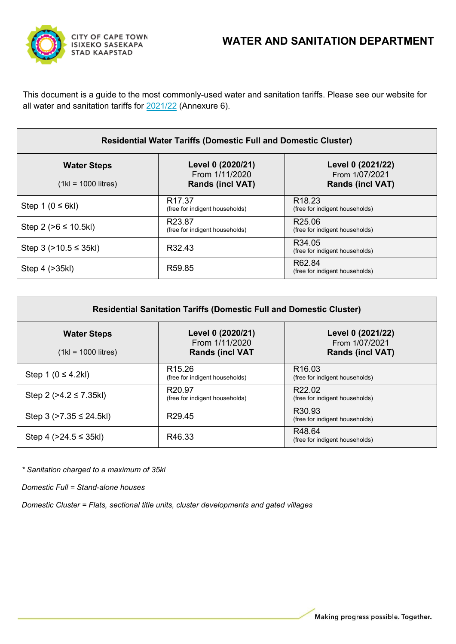

This document is a guide to the most commonly-used water and sanitation tariffs. Please see our website for all water and sanitation tariffs for [2021/22](https://www.capetown.gov.za/Family%20and%20home/Meet-the-City/the-city-budget/the-citys-budget-2021-2022) (Annexure 6).

| <b>Residential Water Tariffs (Domestic Full and Domestic Cluster)</b> |                                                                |                                                                |  |
|-----------------------------------------------------------------------|----------------------------------------------------------------|----------------------------------------------------------------|--|
| <b>Water Steps</b><br>$(1kl = 1000$ litres)                           | Level 0 (2020/21)<br>From 1/11/2020<br><b>Rands (incl VAT)</b> | Level 0 (2021/22)<br>From 1/07/2021<br><b>Rands (incl VAT)</b> |  |
| Step 1 $(0 \le 6k)$                                                   | R <sub>17.37</sub><br>(free for indigent households)           | R <sub>18.23</sub><br>(free for indigent households)           |  |
| Step 2 ( $>6 \le 10.5$ kl)                                            | R <sub>23.87</sub><br>(free for indigent households)           | R <sub>25.06</sub><br>(free for indigent households)           |  |
| Step $3$ ( $>10.5 \leq 35$ kl)                                        | R <sub>32</sub> 43                                             | R <sub>34.05</sub><br>(free for indigent households)           |  |
| Step 4 (>35kl)                                                        | R <sub>59.85</sub>                                             | R62.84<br>(free for indigent households)                       |  |

| <b>Residential Sanitation Tariffs (Domestic Full and Domestic Cluster)</b> |                                                               |                                                                |  |
|----------------------------------------------------------------------------|---------------------------------------------------------------|----------------------------------------------------------------|--|
| <b>Water Steps</b><br>$(1kl = 1000$ litres)                                | Level 0 (2020/21)<br>From 1/11/2020<br><b>Rands (incl VAT</b> | Level 0 (2021/22)<br>From 1/07/2021<br><b>Rands (incl VAT)</b> |  |
| Step 1 ( $0 \le 4.2$ kl)                                                   | R <sub>15.26</sub><br>(free for indigent households)          | R <sub>16.03</sub><br>(free for indigent households)           |  |
| Step 2 ( $>4.2 \le 7.35$ kl)                                               | R <sub>20.97</sub><br>(free for indigent households)          | R <sub>22.02</sub><br>(free for indigent households)           |  |
| Step 3 ( $>7.35 \le 24.5$ kl)                                              | R <sub>29</sub> 45                                            | R <sub>30.93</sub><br>(free for indigent households)           |  |
| Step 4 ( $>24.5 \leq 35$ kl)                                               | R46.33                                                        | R48.64<br>(free for indigent households)                       |  |

*\* Sanitation charged to a maximum of 35kl*

*Domestic Full = Stand-alone houses*

*Domestic Cluster = Flats, sectional title units, cluster developments and gated villages*